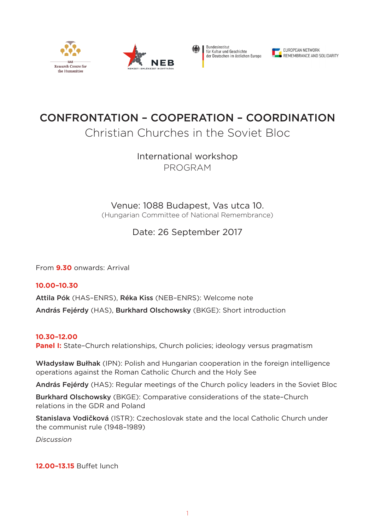







# CONFRONTATION – COOPERATION – COORDINATION

## Christian Churches in the Soviet Bloc

International workshop PROGRAM

Venue: 1088 Budapest, Vas utca 10.

(Hungarian Committee of National Remembrance)

### Date: 26 September 2017

From **9.30** onwards: Arrival

**10.00–10.30** Attila Pók (HAS–ENRS), Réka Kiss (NEB–ENRS): Welcome note András Fejérdy (HAS), Burkhard Olschowsky (BKGE): Short introduction

#### **10.30–12.00**

**Panel I:** State-Church relationships, Church policies; ideology versus pragmatism

Władysław Bułhak (IPN): Polish and Hungarian cooperation in the foreign intelligence operations against the Roman Catholic Church and the Holy See

András Fejérdy (HAS): Regular meetings of the Church policy leaders in the Soviet Bloc

Burkhard Olschowsky (BKGE): Comparative considerations of the state–Church relations in the GDR and Poland

Stanislava Vodičková (ISTR): Czechoslovak state and the local Catholic Church under the communist rule (1948–1989)

*Discussion*

**12.00–13.15** Buffet lunch